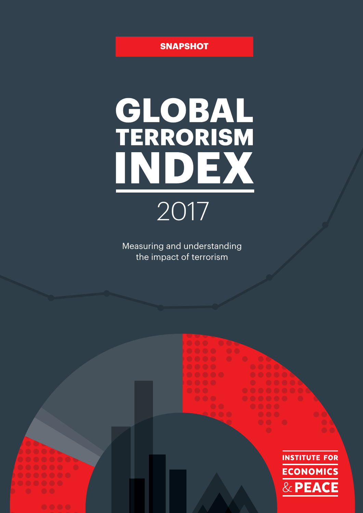#### **SNAPSHOT**

# GLOBAL<br>TERRORISM INDEX 2017

Measuring and understanding the impact of terrorism

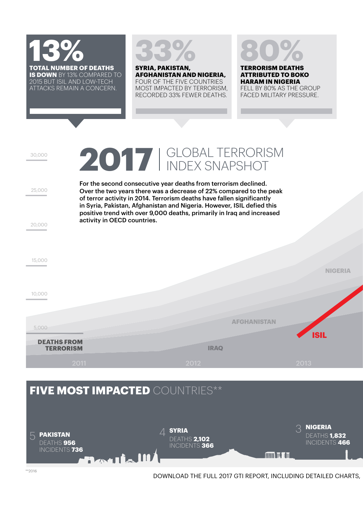



**SYRIA, PAKISTAN, AFGHANISTAN AND NIGERIA,** FOUR OF THE FIVE COUNTRIES MOST IMPACTED BY TERRORISM, RECORDED 33% FEWER DEATHS.

## **80%**

**TERRORISM DEATHS ATTRIBUTED TO BOKO HARAM IN NIGERIA** FELL BY 80% AS THE GROUP FACED MILITARY PRESSURE.

2017 | GLOBAL TERRORISM

For the second consecutive year deaths from terrorism declined. Over the two years there was a decrease of 22% compared to the peak of terror activity in 2014. Terrorism deaths have fallen significantly in Syria, Pakistan, Afghanistan and Nigeria. However, ISIL defied this positive trend with over 9,000 deaths, primarily in Iraq and increased activity in OECD countries.

**IRAQ NIGERIA AFGHANISTAN ISIL** 10,000 15,000 **DEATHS FROM TERRORISM** 5,000

### **FIVE MOST IMPACTED** COUNTRIES\*\* **SYRIA**

4 **NIGERIA** 3**PAKISTAN** 5 DEATHS **1,832** DEATHS **2,102** INCIDENTS **466** DEATHS **956** INCIDENTS **366** INCIDENTS **736**  $\mathbb{H}$  in  $\mathbb{H}$  in  $\mathbb{H}$ 

20,000

25,000

30,000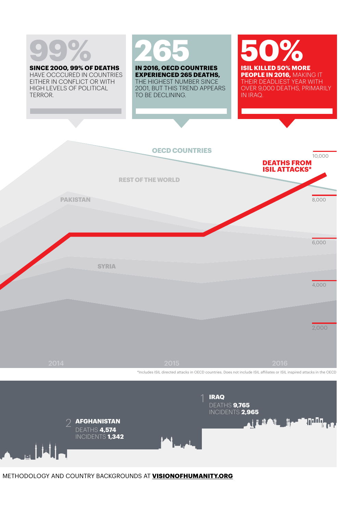# **99%**

**SINCE 2000, 99% OF DEATHS** HAVE OCCCURED IN COUNTRIES EITHER IN CONFLICT OR WITH HIGH LEVELS OF POLITICAL TERROR.

# **265**

**IN 2016, OECD COUNTRIES EXPERIENCED 265 DEATHS,** THE HIGHEST NUMBER SINCE 2001, BUT THIS TREND APPEARS TO BE DECLINING.

**50% ISIL KILLED 50% MORE PEOPLE IN 2016,** MAKING IT THEIR DEADLIEST YEAR WITH OVER 9,000 DEATHS, PRIMARILY IN IRAQ.





DEATHS **4,574** INCIDENTS **1,342**